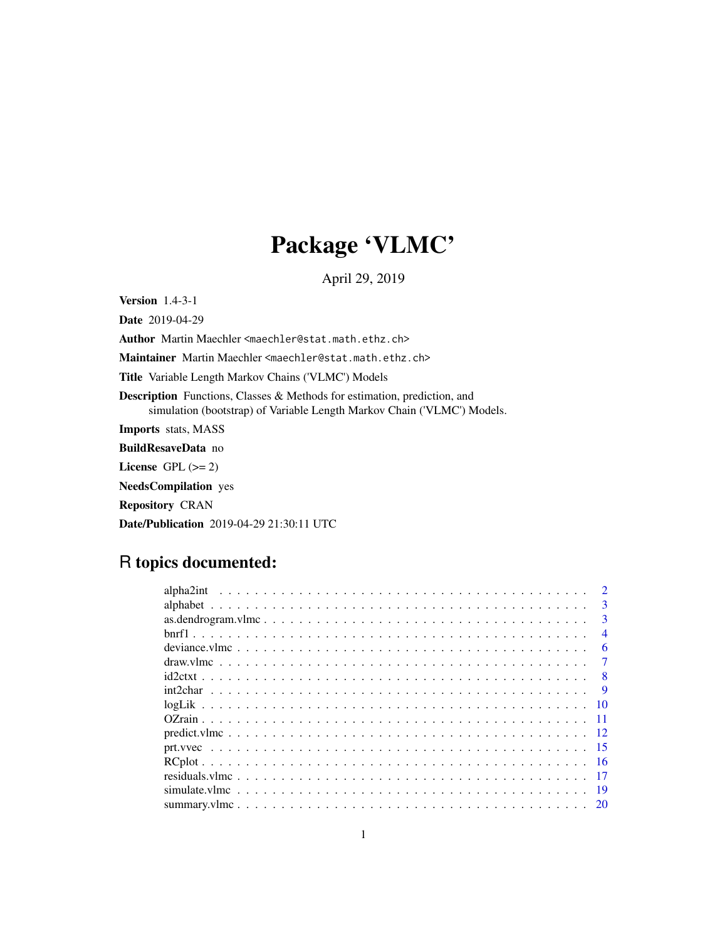# Package 'VLMC'

April 29, 2019

<span id="page-0-0"></span>Version 1.4-3-1

Date 2019-04-29 Author Martin Maechler <maechler@stat.math.ethz.ch>

Maintainer Martin Maechler <maechler@stat.math.ethz.ch>

Title Variable Length Markov Chains ('VLMC') Models

Description Functions, Classes & Methods for estimation, prediction, and simulation (bootstrap) of Variable Length Markov Chain ('VLMC') Models.

Imports stats, MASS

BuildResaveData no

License GPL  $(>= 2)$ 

NeedsCompilation yes

Repository CRAN

Date/Publication 2019-04-29 21:30:11 UTC

# R topics documented:

| $\mathcal{D}$            |
|--------------------------|
| $\mathbf{R}$             |
| $\mathbf{3}$             |
| $\boldsymbol{\varDelta}$ |
| 6                        |
|                          |
| 8                        |
|                          |
|                          |
|                          |
|                          |
| -15                      |
|                          |
|                          |
|                          |
| 19                       |
|                          |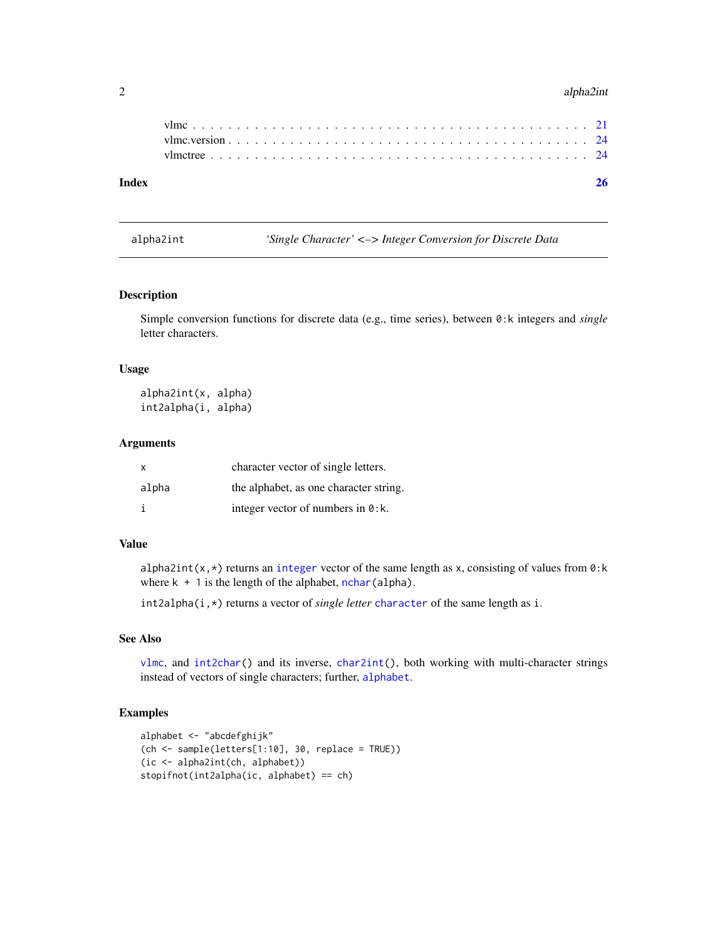#### 2 alpha2int and the control of the control of the control of the control of the control of the control of the control of the control of the control of the control of the control of the control of the control of the control

<span id="page-1-1"></span>alpha2int *'Single Character' <–> Integer Conversion for Discrete Data*

# <span id="page-1-2"></span>Description

Simple conversion functions for discrete data (e.g., time series), between 0:k integers and *single* letter characters.

#### Usage

alpha2int(x, alpha) int2alpha(i, alpha)

# Arguments

| $\mathsf{X}$ | character vector of single letters.        |
|--------------|--------------------------------------------|
| alpha        | the alphabet, as one character string.     |
|              | integer vector of numbers in $\theta$ : k. |

# Value

alpha2int(x,\*) returns an [integer](#page-0-0) vector of the same length as x, consisting of values from 0:k where  $k + 1$  is the length of the alphabet, [nchar\(](#page-0-0)alpha).

int2alpha(i,\*) returns a vector of *single letter* [character](#page-0-0) of the same length as i.

# See Also

[vlmc](#page-20-1), and [int2char\(](#page-8-1)) and its inverse, [char2int\(](#page-8-2)), both working with multi-character strings instead of vectors of single characters; further, [alphabet](#page-2-1).

```
alphabet <- "abcdefghijk"
(ch \leq sample(leftters[1:10], 30, replace = TRUE))(ic <- alpha2int(ch, alphabet))
stopifnot(int2alpha(ic, alphabet) == ch)
```
<span id="page-1-0"></span>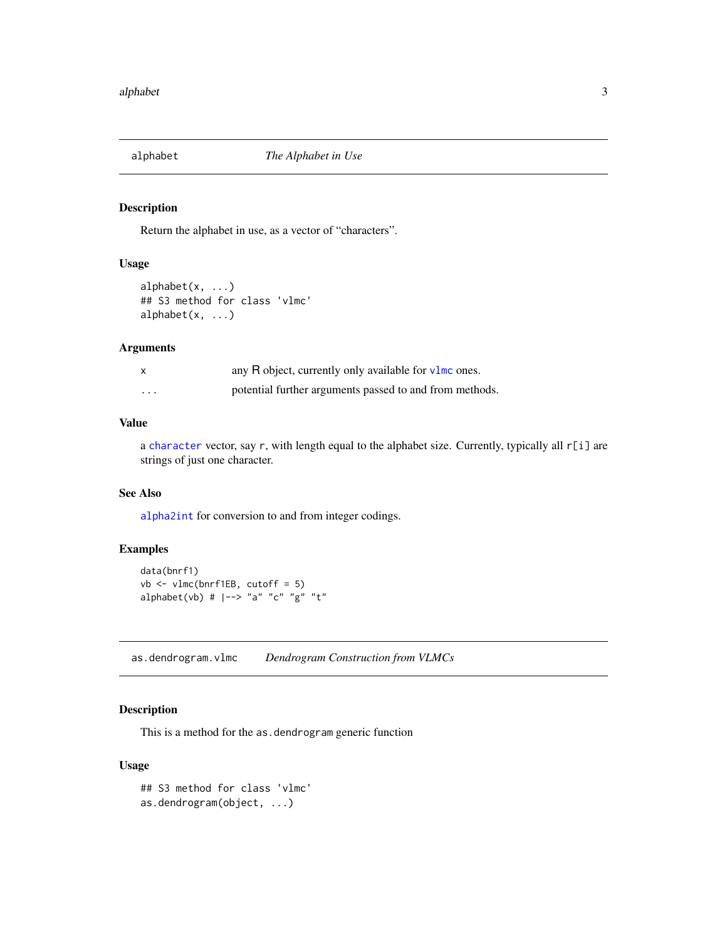<span id="page-2-1"></span><span id="page-2-0"></span>

Return the alphabet in use, as a vector of "characters".

# Usage

```
alphabet(x, ...)
## S3 method for class 'vlmc'
alphabet(x, \ldots)
```
# Arguments

|                         | any R object, currently only available for $v \cdot \text{Im} \cos \theta$ . |
|-------------------------|------------------------------------------------------------------------------|
| $\cdot$ $\cdot$ $\cdot$ | potential further arguments passed to and from methods.                      |

#### Value

a [character](#page-0-0) vector, say r, with length equal to the alphabet size. Currently, typically all r[i] are strings of just one character.

#### See Also

[alpha2int](#page-1-1) for conversion to and from integer codings.

# Examples

```
data(bnrf1)
vb <- vlmc(bnrf1EB, cutoff = 5)
alphabet(vb) # |-> "a" "c" "g" "t"
```
as.dendrogram.vlmc *Dendrogram Construction from VLMCs*

# Description

This is a method for the as.dendrogram generic function

# Usage

```
## S3 method for class 'vlmc'
as.dendrogram(object, ...)
```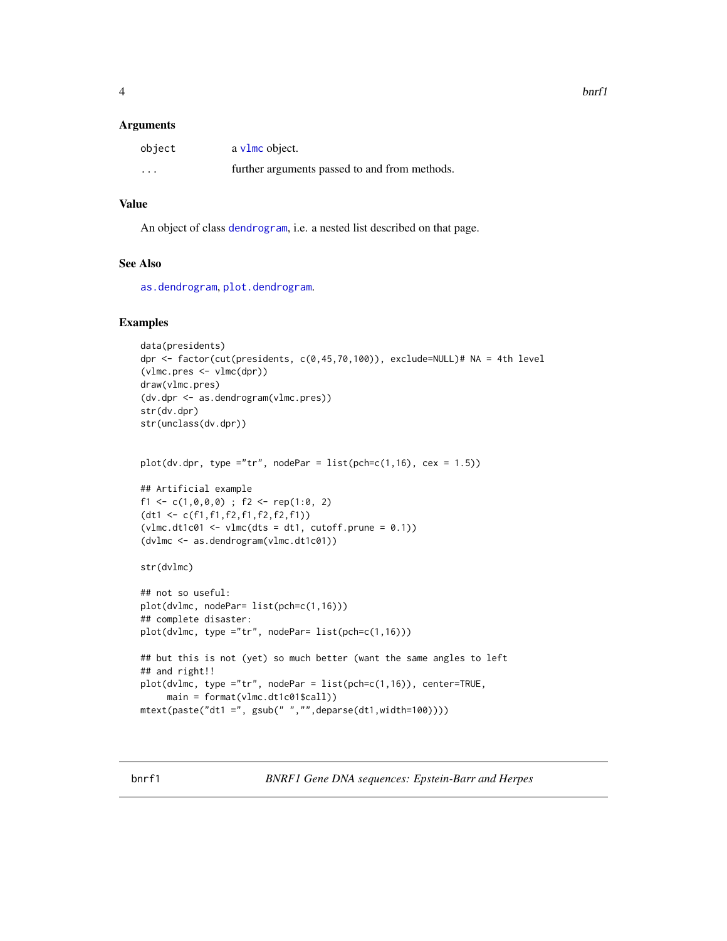#### <span id="page-3-0"></span>**Arguments**

| object   | a v1mc object.                                |
|----------|-----------------------------------------------|
| $\cdots$ | further arguments passed to and from methods. |

# Value

An object of class [dendrogram](#page-0-0), i.e. a nested list described on that page.

#### See Also

[as.dendrogram](#page-0-0), [plot.dendrogram](#page-0-0).

#### Examples

```
data(presidents)
dpr <- factor(cut(presidents, c(0,45,70,100)), exclude=NULL)# NA = 4th level
(vlmc.pres <- vlmc(dpr))
draw(vlmc.pres)
(dv.dpr <- as.dendrogram(vlmc.pres))
str(dv.dpr)
str(unclass(dv.dpr))
plot(dv.dpr, type = "tr", nodePar = list(pch=c(1,16), cex = 1.5))## Artificial example
f1 <- c(1,0,0,0) ; f2 <- rep(1:0, 2)
(dt1 <- c(f1,f1,f2,f1,f2,f2,f1))
(vlmc.dtlc@1 \leftarrow vlmc(dts = dt1, cutoff.prune = 0.1))(dvlmc <- as.dendrogram(vlmc.dt1c01))
str(dvlmc)
## not so useful:
plot(dvlmc, nodePar= list(pch=c(1,16)))
## complete disaster:
plot(dvlmc, type ="tr", nodePar= list(pch=c(1,16)))
## but this is not (yet) so much better (want the same angles to left
## and right!!
plot(dvlmc, type ="tr", nodePar = list(pch=c(1,16)), center=TRUE,
    main = format(vlmc.dt1c01$call))
mtext(paste("dt1 =", gsub(" ","",deparse(dt1,width=100))))
```
bnrf1 *BNRF1 Gene DNA sequences: Epstein-Barr and Herpes*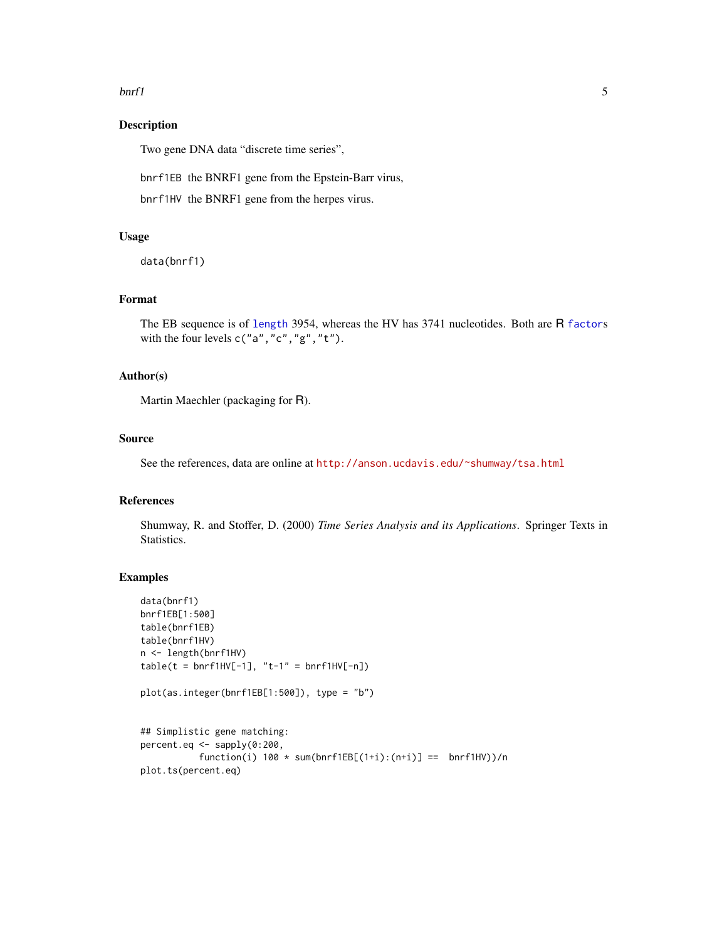#### <span id="page-4-0"></span> $\frac{1}{5}$  5

# Description

Two gene DNA data "discrete time series",

bnrf1EB the BNRF1 gene from the Epstein-Barr virus,

bnrf1HV the BNRF1 gene from the herpes virus.

# Usage

data(bnrf1)

# Format

The EB sequence is of [length](#page-0-0) 3954, whereas the HV has 3741 nucleotides. Both are R [factor](#page-0-0)s with the four levels  ${\mathsf c}('{\mathsf a}'',\text{"c}'',\text{"g}'',\text{"t}'').$ 

#### Author(s)

Martin Maechler (packaging for R).

# Source

See the references, data are online at <http://anson.ucdavis.edu/~shumway/tsa.html>

# References

Shumway, R. and Stoffer, D. (2000) *Time Series Analysis and its Applications*. Springer Texts in Statistics.

```
data(bnrf1)
bnrf1EB[1:500]
table(bnrf1EB)
table(bnrf1HV)
n <- length(bnrf1HV)
table(t = bnrf1HV[-1], "t-1" = bnrf1HV[-n])plot(as.integer(bnrf1EB[1:500]), type = "b")
## Simplistic gene matching:
percent.eq <- sapply(0:200,
           function(i) 100 * sum(bnrf1EB[(1+i):(n+i)] == bnrf1HV))/nplot.ts(percent.eq)
```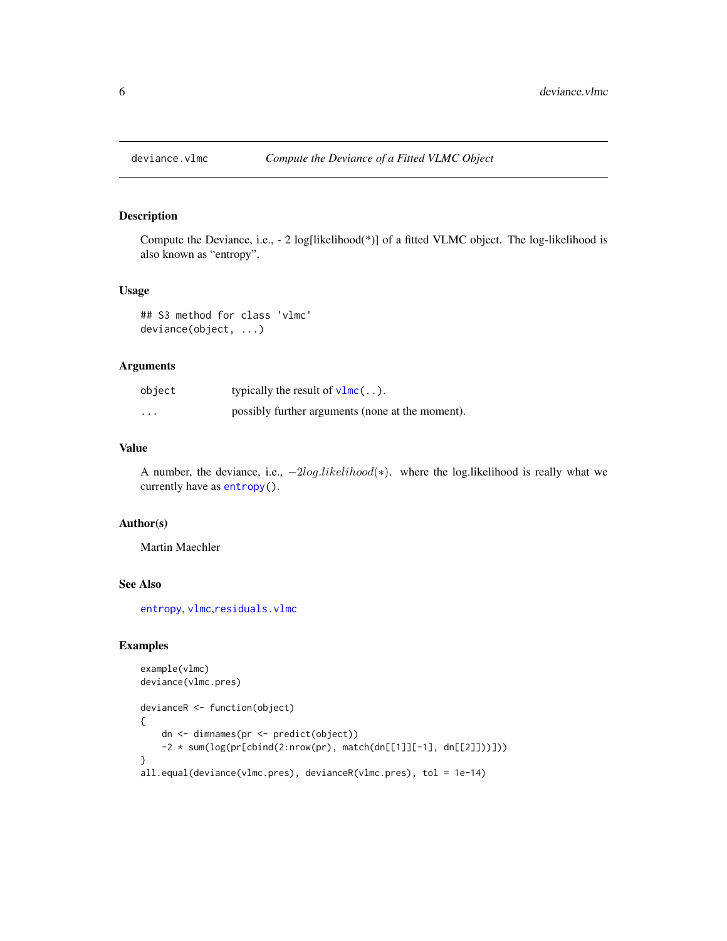<span id="page-5-1"></span><span id="page-5-0"></span>

Compute the Deviance, i.e., - 2 log[likelihood(\*)] of a fitted VLMC object. The log-likelihood is also known as "entropy".

#### Usage

```
## S3 method for class 'vlmc'
deviance(object, ...)
```
# Arguments

| object   | typically the result of $v1mc$                   |
|----------|--------------------------------------------------|
| $\cdots$ | possibly further arguments (none at the moment). |

#### Value

A number, the deviance, i.e.,  $-2log.likelihood(*)$ . where the log.likelihood is really what we currently have as [entropy\(](#page-9-1)).

# Author(s)

Martin Maechler

# See Also

[entropy](#page-9-1), [vlmc](#page-20-1),[residuals.vlmc](#page-16-1)

```
example(vlmc)
deviance(vlmc.pres)
devianceR <- function(object)
{
   dn <- dimnames(pr <- predict(object))
    -2 * sum(log(pr[cbind(2:nrow(pr), match(dn[[1]][-1], dn[[2]]))]))
}
all.equal(deviance(vlmc.pres), devianceR(vlmc.pres), tol = 1e-14)
```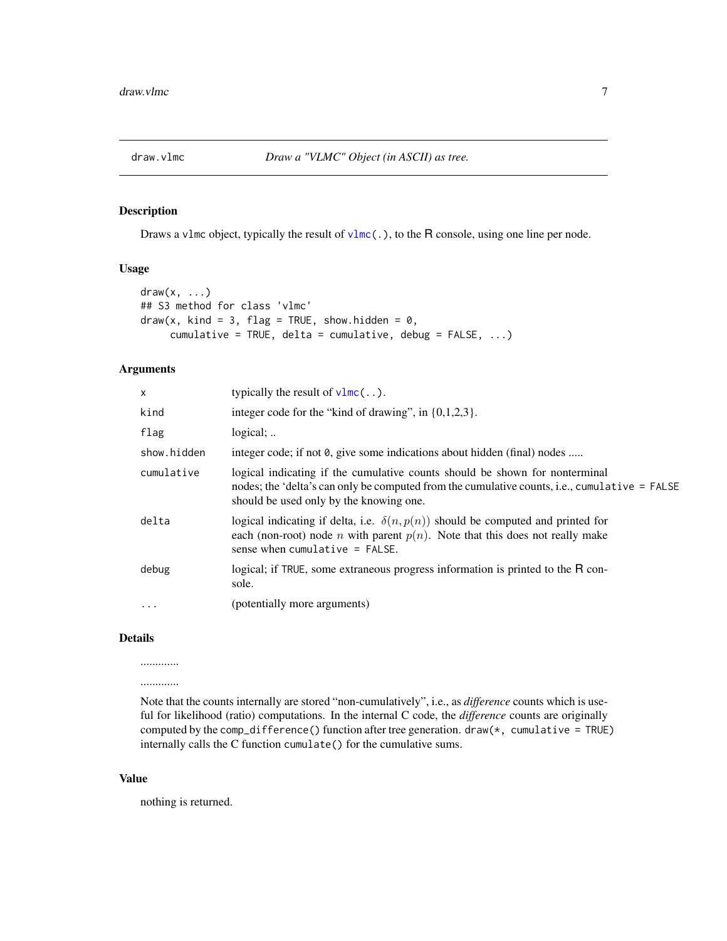<span id="page-6-1"></span><span id="page-6-0"></span>

Draws a v1mc object, typically the result of v1mc(.), to the R console, using one line per node.

#### Usage

```
draw(x, \ldots)## S3 method for class 'vlmc'
draw(x, kind = 3, flag = TRUE, show. hidden = 0,cumulative = TRUE, delta = cumulative, debug = FALSE, ...)
```
#### Arguments

| x           | typically the result of $v1mc$                                                                                                                                                                                          |
|-------------|-------------------------------------------------------------------------------------------------------------------------------------------------------------------------------------------------------------------------|
| kind        | integer code for the "kind of drawing", in $\{0,1,2,3\}$ .                                                                                                                                                              |
| flag        | $logical:$                                                                                                                                                                                                              |
| show.hidden | integer code; if not 0, give some indications about hidden (final) nodes                                                                                                                                                |
| cumulative  | logical indicating if the cumulative counts should be shown for nonterminal<br>nodes; the 'delta's can only be computed from the cumulative counts, i.e., cumulative = FALSE<br>should be used only by the knowing one. |
| delta       | logical indicating if delta, i.e. $\delta(n, p(n))$ should be computed and printed for<br>each (non-root) node <i>n</i> with parent $p(n)$ . Note that this does not really make<br>sense when cumulative $=$ FALSE.    |
| debug       | logical; if TRUE, some extraneous progress information is printed to the R con-<br>sole.                                                                                                                                |
| .           | (potentially more arguments)                                                                                                                                                                                            |
|             |                                                                                                                                                                                                                         |

# Details

............. .............

Note that the counts internally are stored "non-cumulatively", i.e., as *difference* counts which is useful for likelihood (ratio) computations. In the internal C code, the *difference* counts are originally computed by the comp\_difference() function after tree generation. draw(\*, cumulative = TRUE) internally calls the C function cumulate() for the cumulative sums.

# Value

nothing is returned.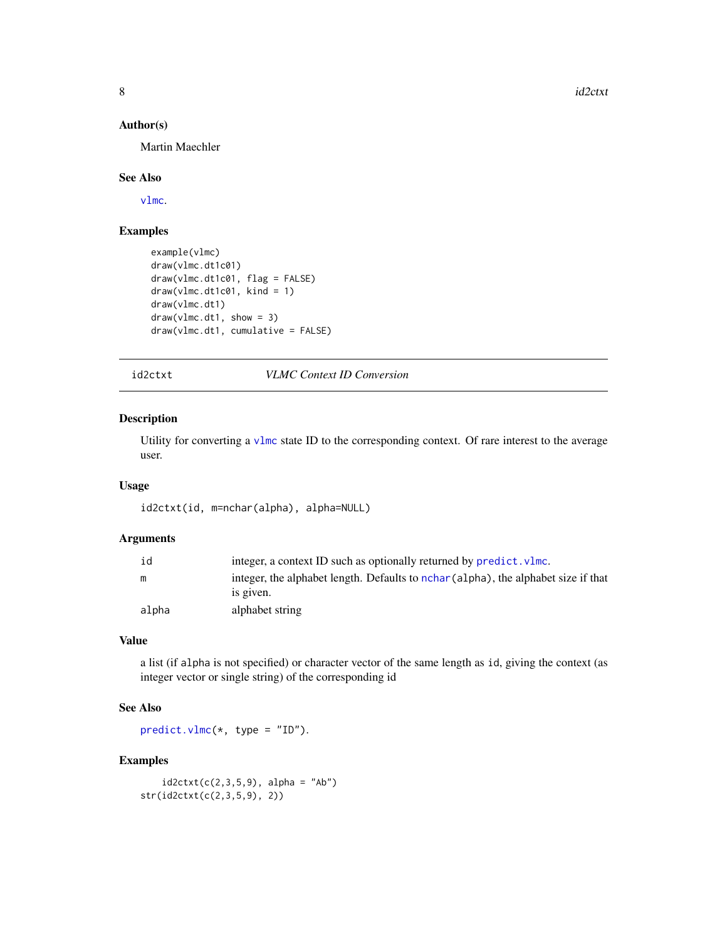8 id2ctxt control of the control of the control of the control of the control of the control of the control of the control of the control of the control of the control of the control of the control of the control of the co

### Author(s)

Martin Maechler

# See Also

[vlmc](#page-20-1).

# Examples

```
example(vlmc)
draw(vlmc.dt1c01)
draw(vlmc.dt1c01, flag = FALSE)
draw(vlmc.dt1c01, kind = 1)draw(vlmc.dt1)
draw(vlmc.dt1, show = 3)draw(vlmc.dt1, cumulative = FALSE)
```
<span id="page-7-1"></span>id2ctxt *VLMC Context ID Conversion*

# Description

Utility for converting a [vlmc](#page-20-1) state ID to the corresponding context. Of rare interest to the average user.

# Usage

id2ctxt(id, m=nchar(alpha), alpha=NULL)

# Arguments

| ıd    | integer, a context ID such as optionally returned by predict. vlmc.                |
|-------|------------------------------------------------------------------------------------|
| m     | integer, the alphabet length. Defaults to nchar (alpha), the alphabet size if that |
|       | is given.                                                                          |
| alpha | alphabet string                                                                    |

# Value

a list (if alpha is not specified) or character vector of the same length as id, giving the context (as integer vector or single string) of the corresponding id

# See Also

 $predict.vlmc(*, type = "ID").$  $predict.vlmc(*, type = "ID").$ 

```
id2ctxt(c(2,3,5,9), alpha = "Ab")str(id2ctxt(c(2,3,5,9), 2))
```
<span id="page-7-0"></span>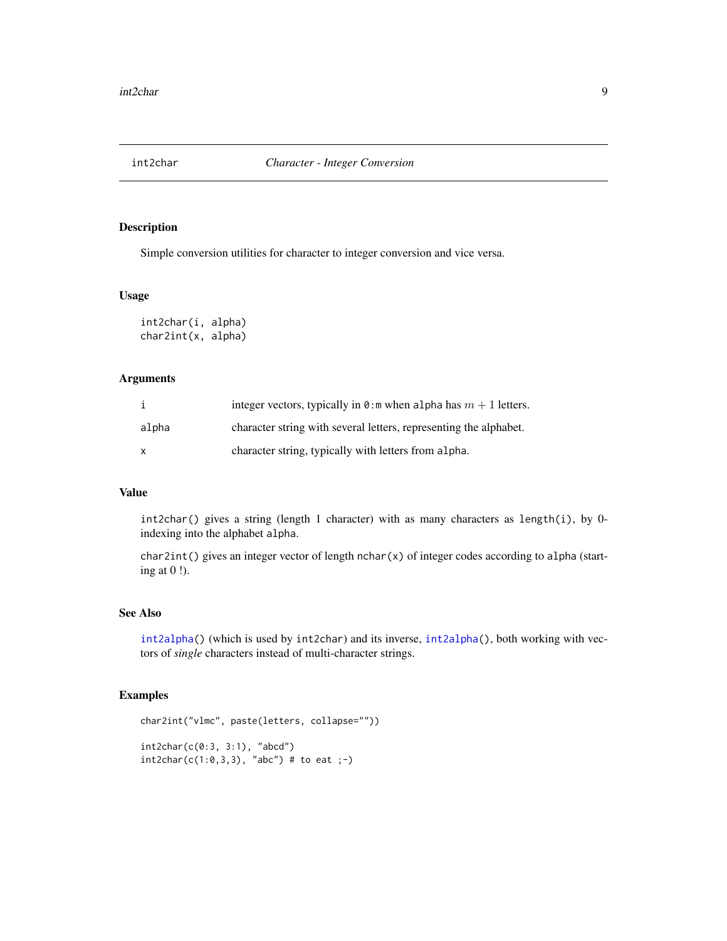<span id="page-8-2"></span><span id="page-8-1"></span><span id="page-8-0"></span>

Simple conversion utilities for character to integer conversion and vice versa.

#### Usage

```
int2char(i, alpha)
char2int(x, alpha)
```
# Arguments

|              | integer vectors, typically in 0: m when alpha has $m + 1$ letters. |
|--------------|--------------------------------------------------------------------|
| alpha        | character string with several letters, representing the alphabet.  |
| $\mathsf{x}$ | character string, typically with letters from alpha.               |

#### Value

int2char() gives a string (length 1 character) with as many characters as length(i), by 0 indexing into the alphabet alpha.

char2int() gives an integer vector of length nchar(x) of integer codes according to alpha (starting at 0 !).

#### See Also

[int2alpha\(](#page-1-2)) (which is used by int2char) and its inverse, [int2alpha\(](#page-1-2)), both working with vectors of *single* characters instead of multi-character strings.

```
char2int("vlmc", paste(letters, collapse=""))
```

```
int2char(c(0:3, 3:1), "abcd")
int2char(c(1:0,3,3), 'abc') # to eat ;-)
```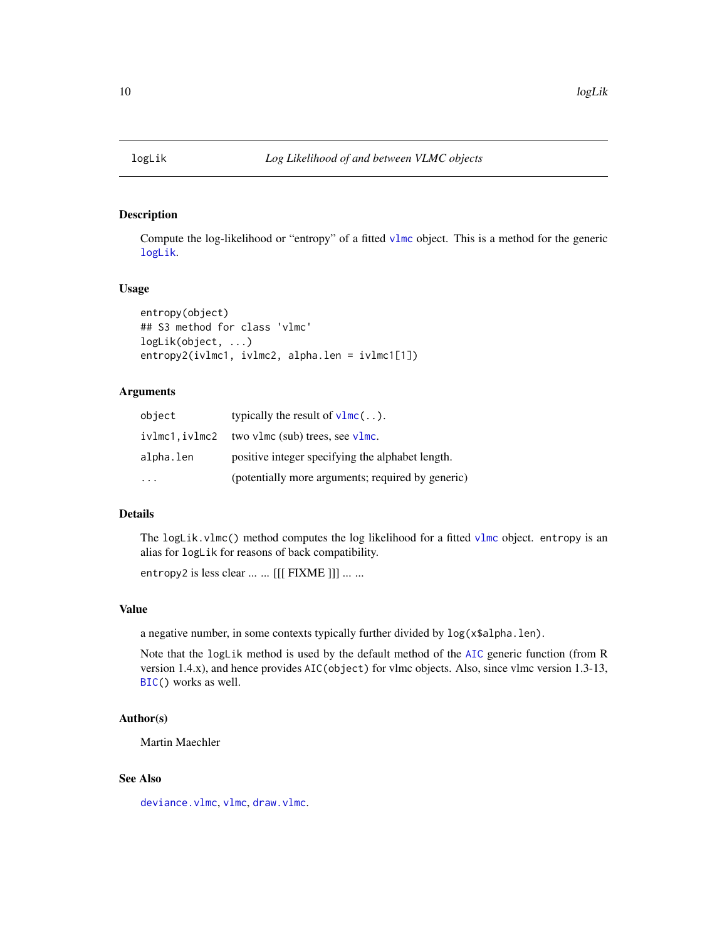<span id="page-9-2"></span><span id="page-9-1"></span><span id="page-9-0"></span>

Compute the log-likelihood or "entropy" of a fitted [vlmc](#page-20-1) object. This is a method for the generic [logLik](#page-9-2).

#### Usage

```
entropy(object)
## S3 method for class 'vlmc'
logLik(object, ...)
entropy2(ivlmc1, ivlmc2, alpha.len = ivlmc1[1])
```
#### Arguments

| object    | typically the result of $v1mc$                           |
|-----------|----------------------------------------------------------|
|           | $iv1mc1$ , $iv1mc2$ two $vlmc$ (sub) trees, see $vlmc$ . |
| alpha.len | positive integer specifying the alphabet length.         |
|           | (potentially more arguments; required by generic)        |

#### Details

The logLik.[vlmc](#page-20-1)() method computes the log likelihood for a fitted vlmc object. entropy is an alias for logLik for reasons of back compatibility.

entropy2 is less clear ... ... [[[ FIXME ]]] ... ...

# Value

a negative number, in some contexts typically further divided by log(x\$alpha.len).

Note that the logLik method is used by the default method of the [AIC](#page-0-0) generic function (from R version 1.4.x), and hence provides AIC(object) for vlmc objects. Also, since vlmc version 1.3-13, [BIC\(](#page-0-0)) works as well.

# Author(s)

Martin Maechler

# See Also

[deviance.vlmc](#page-5-1), [vlmc](#page-20-1), [draw.vlmc](#page-6-1).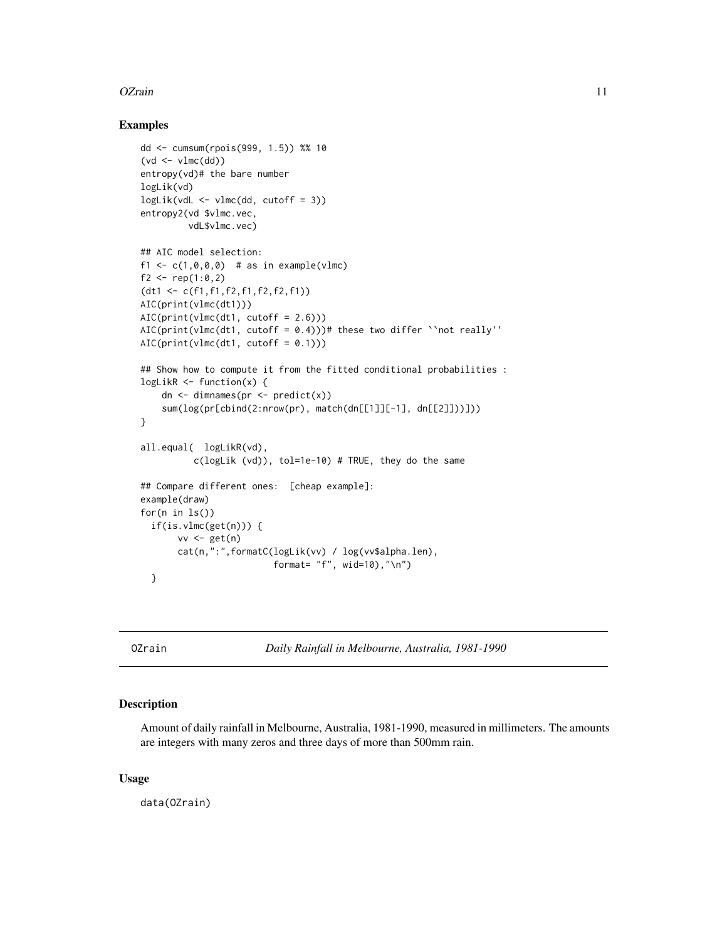#### <span id="page-10-0"></span>OZrain 11

#### Examples

```
dd <- cumsum(rpois(999, 1.5)) %% 10
(vd \leftarrow vlmc(dd))entropy(vd)# the bare number
logLik(vd)
logLik(vdL < -vlmc(dd, cutoff = 3))entropy2(vd $vlmc.vec,
         vdL$vlmc.vec)
## AIC model selection:
f1 <- c(1, 0, 0, 0) # as in example(vlmc)
f2 <- rep(1:0,2)(dt1 <- c(f1,f1,f2,f1,f2,f2,f1))
AIC(print(vlmc(dt1)))
AIC(print(vlmc(dt1, cutoff = 2.6)))
AIC(print(vlmc(dt1, cutoff = 0.4)))# these two differ ``not really''
AIC(print(vlmc(dt1, cutoff = 0.1)))## Show how to compute it from the fitted conditional probabilities :
logLink < - function(x) {
    dn \leq dimnames(pr \leq predict(x))
    sum(log(pr[cbind(2:nrow(pr), match(dn[[1]][-1], dn[[2]]))]))
}
all.equal( logLikR(vd),
          c(logLik (vd)), tol=1e-10) # TRUE, they do the same
## Compare different ones: [cheap example]:
example(draw)
for(n in ls())
  if(is.vlmc(get(n))) {
       vv \leftarrow get(n)cat(n,":",formatC(logLik(vv) / log(vv$alpha.len),
                          format= "f", wid=10),"\n")
  }
```
OZrain *Daily Rainfall in Melbourne, Australia, 1981-1990*

# Description

Amount of daily rainfall in Melbourne, Australia, 1981-1990, measured in millimeters. The amounts are integers with many zeros and three days of more than 500mm rain.

#### Usage

data(OZrain)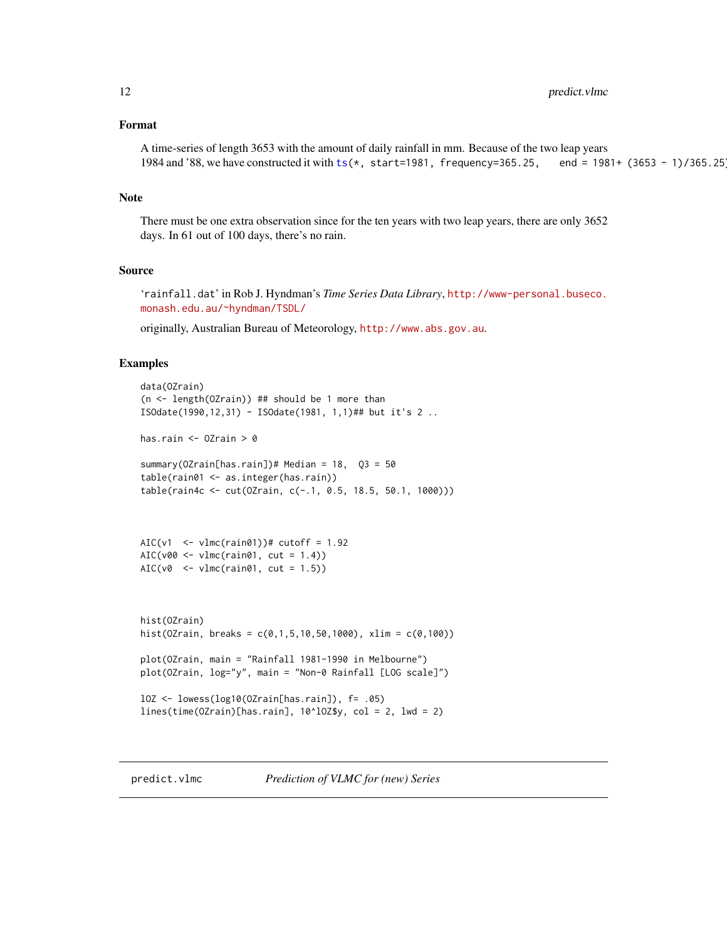#### <span id="page-11-0"></span>Format

A time-series of length 3653 with the amount of daily rainfall in mm. Because of the two leap years 1984 and '88, we have constructed it with [ts\(](#page-0-0)\*, start=1981, frequency=365.25, end = 1981+ (3653 - 1)/365.25).

#### Note

There must be one extra observation since for the ten years with two leap years, there are only 3652 days. In 61 out of 100 days, there's no rain.

#### Source

'rainfall.dat' in Rob J. Hyndman's *Time Series Data Library*, [http://www-personal.buseco.](http://www-personal.buseco.monash.edu.au/~hyndman/TSDL/) [monash.edu.au/~hyndman/TSDL/](http://www-personal.buseco.monash.edu.au/~hyndman/TSDL/)

originally, Australian Bureau of Meteorology, <http://www.abs.gov.au>.

#### Examples

```
data(OZrain)
(n <- length(OZrain)) ## should be 1 more than
ISOdate(1990,12,31) - ISOdate(1981, 1,1)## but it's 2 ..
has.rain <- OZrain > 0
summary(OZrain[has.rain])# Median = 18, Q3 = 50
table(rain01 <- as.integer(has.rain))
table(rain4c <- cut(OZrain, c(-.1, 0.5, 18.5, 50.1, 1000)))
AIC(v1 \leftarrow vlmc(rain01))# cutoff = 1.92
AIC(v00 \leftarrow \text{vlmc}(\text{rain01}, \text{cut} = 1.4))AIC(v0 \le - \text{vlmc}(\text{rain01}, \text{cut} = 1.5))hist(OZrain)
hist(OZrain, breaks = c(0,1,5,10,50,1000), xlim = c(0,100))
plot(OZrain, main = "Rainfall 1981-1990 in Melbourne")
plot(OZrain, log="y", main = "Non-0 Rainfall [LOG scale]")
lOZ <- lowess(log10(OZrain[has.rain]), f= .05)
lines(time(OZrain)[has.rain], 10^lOZ$y, col = 2, lwd = 2)
```
<span id="page-11-1"></span>predict.vlmc *Prediction of VLMC for (new) Series*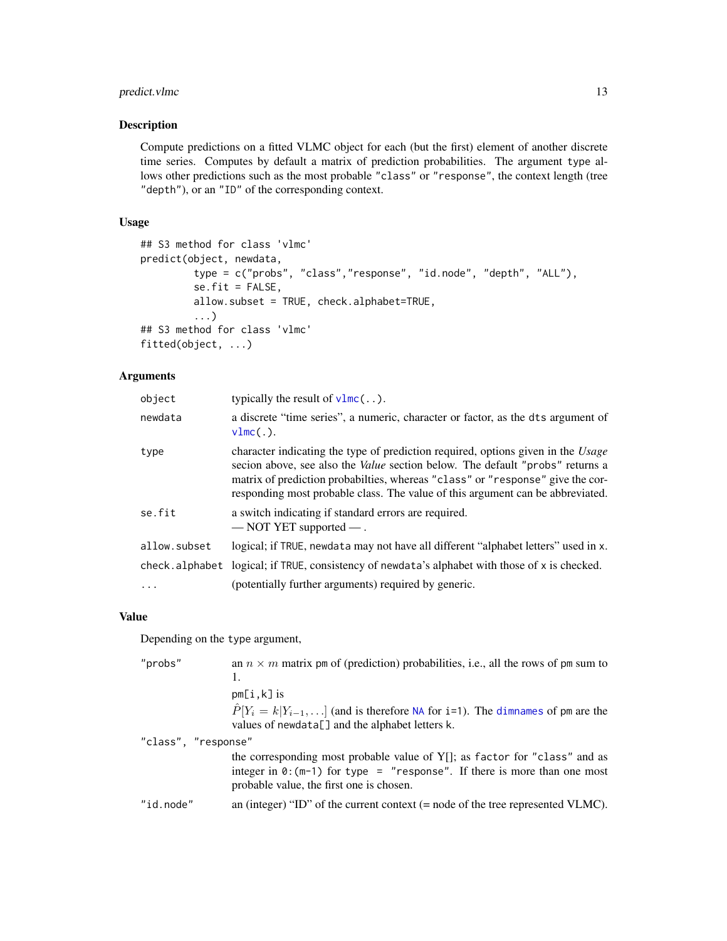# <span id="page-12-0"></span>predict.vlmc 13

# Description

Compute predictions on a fitted VLMC object for each (but the first) element of another discrete time series. Computes by default a matrix of prediction probabilities. The argument type allows other predictions such as the most probable "class" or "response", the context length (tree "depth"), or an "ID" of the corresponding context.

# Usage

```
## S3 method for class 'vlmc'
predict(object, newdata,
         type = c("probs", "class","response", "id.node", "depth", "ALL"),
         se.fit = FALSE,
         allow.subset = TRUE, check.alphabet=TRUE,
         ...)
## S3 method for class 'vlmc'
fitted(object, ...)
```
# Arguments

| object       | typically the result of $v\text{1mc}$ ().                                                                                                                                                                                                                                                                                                    |
|--------------|----------------------------------------------------------------------------------------------------------------------------------------------------------------------------------------------------------------------------------------------------------------------------------------------------------------------------------------------|
| newdata      | a discrete "time series", a numeric, character or factor, as the dts argument of<br>$vlmc(.)$ .                                                                                                                                                                                                                                              |
| type         | character indicating the type of prediction required, options given in the Usage<br>secion above, see also the <i>Value</i> section below. The default "probs" returns a<br>matrix of prediction probabilties, whereas "class" or "response" give the cor-<br>responding most probable class. The value of this argument can be abbreviated. |
| se.fit       | a switch indicating if standard errors are required.<br>$-$ NOT YET supported $-$ .                                                                                                                                                                                                                                                          |
| allow.subset | logical; if TRUE, newdata may not have all different "alphabet letters" used in x.                                                                                                                                                                                                                                                           |
|              | check.alphabet logical; if TRUE, consistency of newdata's alphabet with those of x is checked.                                                                                                                                                                                                                                               |
| $\ldots$     | (potentially further arguments) required by generic.                                                                                                                                                                                                                                                                                         |

# Value

Depending on the type argument,

| "probs"             | an $n \times m$ matrix pm of (prediction) probabilities, i.e., all the rows of pm sum to<br>1.<br>$pm[i,k]$ is                                                                                              |
|---------------------|-------------------------------------------------------------------------------------------------------------------------------------------------------------------------------------------------------------|
| "class", "response" | $\hat{P}[Y_i = k   Y_{i-1}, \ldots]$ (and is therefore NA for i=1). The dimnames of pm are the<br>values of newdata[] and the alphabet letters k.                                                           |
|                     |                                                                                                                                                                                                             |
|                     | the corresponding most probable value of Y[]; as factor for "class" and as<br>integer in $\theta$ : (m-1) for type = "response". If there is more than one most<br>probable value, the first one is chosen. |
| "id.node"           | an (integer) "ID" of the current context $(=$ node of the tree represented VLMC).                                                                                                                           |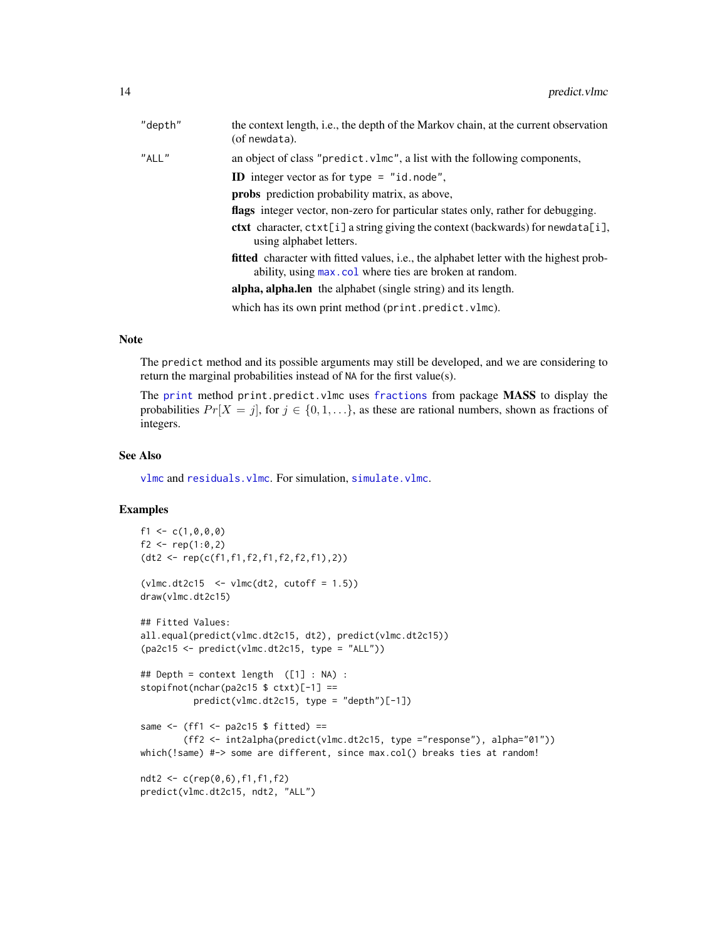<span id="page-13-0"></span>

| "depth" | the context length, i.e., the depth of the Markov chain, at the current observation<br>(of newdata).                                                    |
|---------|---------------------------------------------------------------------------------------------------------------------------------------------------------|
| "ALL"   | an object of class "predict. vlmc", a list with the following components,                                                                               |
|         | <b>ID</b> integer vector as for type $=$ "id. node",                                                                                                    |
|         | <b>probs</b> prediction probability matrix, as above,                                                                                                   |
|         | <b>flags</b> integer vector, non-zero for particular states only, rather for debugging.                                                                 |
|         | <b>ctxt</b> character, $\text{ctxt}[i]$ a string giving the context (backwards) for newdata[i],<br>using alphabet letters.                              |
|         | <b>fitted</b> character with fitted values, i.e., the alphabet letter with the highest prob-<br>ability, using max.col where ties are broken at random. |
|         | alpha, alpha.len the alphabet (single string) and its length.                                                                                           |
|         | which has its own print method (print.predict.vlmc).                                                                                                    |

# Note

The predict method and its possible arguments may still be developed, and we are considering to return the marginal probabilities instead of NA for the first value(s).

The [print](#page-0-0) method print.predict.vlmc uses [fractions](#page-0-0) from package MASS to display the probabilities  $Pr[X = j]$ , for  $j \in \{0, 1, \ldots\}$ , as these are rational numbers, shown as fractions of integers.

#### See Also

[vlmc](#page-20-1) and [residuals.vlmc](#page-16-1). For simulation, [simulate.vlmc](#page-18-1).

```
f1 <- c(1, 0, 0, 0)f2 <- rep(1:0,2)(dt2 <- rep(c(f1,f1,f2,f1,f2,f2,f1),2))
(vlmc.dt2c15 < -vlmc(dt2, cutoff = 1.5))draw(vlmc.dt2c15)
## Fitted Values:
all.equal(predict(vlmc.dt2c15, dt2), predict(vlmc.dt2c15))
(pa2c15 < -</math>predict(vlmc.dt2c15, type = "ALL"))## Depth = context length ([1] : NA) :
stopifnot(nchar(pa2c15 $ ctxt)[-1] ==
         predict(vlmc.dt2c15, type = "depth")[-1])
same \leq (ff1 \leq pa2c15 $ fitted) ==
        (ff2 <- int2alpha(predict(vlmc.dt2c15, type ="response"), alpha="01"))
which(!same) #-> some are different, since max.col() breaks ties at random!
ndt2 <- c(rep(0,6),f1,f1,f2)
```

```
predict(vlmc.dt2c15, ndt2, "ALL")
```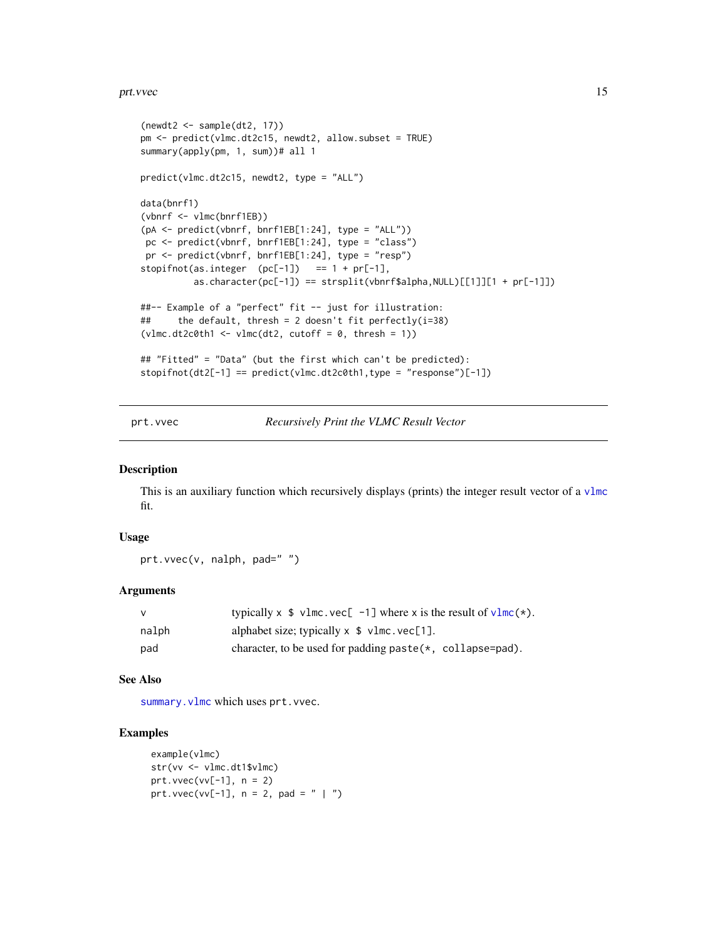#### <span id="page-14-0"></span>prt.vvec 15

```
(newdt2 < - sample(dt2, 17))pm <- predict(vlmc.dt2c15, newdt2, allow.subset = TRUE)
summary(apply(pm, 1, sum))# all 1
predict(vlmc.dt2c15, newdt2, type = "ALL")
data(bnrf1)
(vbnrf <- vlmc(bnrf1EB))
(pA <- predict(vbnrf, bnrf1EB[1:24], type = "ALL"))
pc <- predict(vbnrf, bnrf1EB[1:24], type = "class")
pr <- predict(vbnrf, bnrf1EB[1:24], type = "resp")
stopifnot(as.integer (pc[-1]) == 1 + pr[-1],
          as.character(pc[-1]) == strsplit(vbnrf$alpha,NULL)[[1]][1 + pr[-1]])
##-- Example of a "perfect" fit -- just for illustration:
## the default, thresh = 2 doesn't fit perfectly(i=38)
(vlmc.dt2c0th1 \leftarrow vlmc(dt2, cutoff = 0, thresh = 1))## "Fitted" = "Data" (but the first which can't be predicted):
stopifnot(dt2[-1] == predict(v1mc.dt2c0th1,type = "response")[-1])
```
<span id="page-14-1"></span>prt.vvec *Recursively Print the VLMC Result Vector*

#### Description

This is an auxiliary function which recursively displays (prints) the integer result vector of a  $v1mc$ fit.

#### Usage

prt.vvec(v, nalph, pad=" ")

#### Arguments

|       | typically x $\frac{1}{2}$ v1mc. vec $\left[ -1 \right]$ where x is the result of v1mc(*). |
|-------|-------------------------------------------------------------------------------------------|
| nalph | alphabet size; typically $x \text{ $>$}$ vlmc. $vec[1]$ .                                 |
| pad   | character, to be used for padding paste $(*,$ collapse=pad).                              |

#### See Also

summary. vlmc which uses prt. vvec.

```
example(vlmc)
str(vv <- vlmc.dt1$vlmc)
prt.vvec(vv[-1], n = 2)
prt.vvec(vv[-1], n = 2, pad = " | ")
```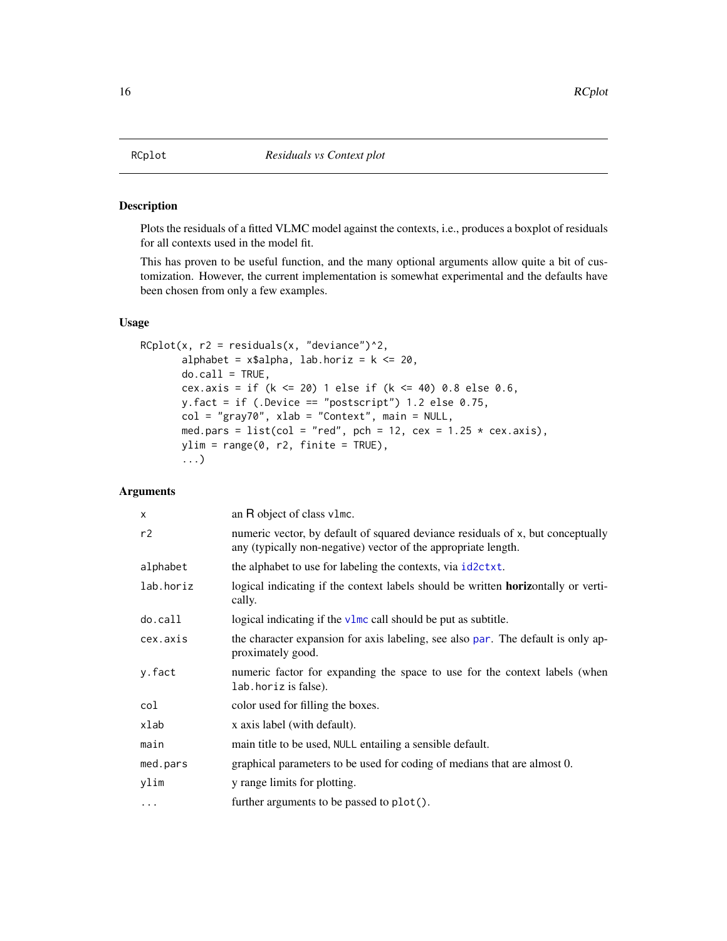<span id="page-15-1"></span><span id="page-15-0"></span>Plots the residuals of a fitted VLMC model against the contexts, i.e., produces a boxplot of residuals for all contexts used in the model fit.

This has proven to be useful function, and the many optional arguments allow quite a bit of customization. However, the current implementation is somewhat experimental and the defaults have been chosen from only a few examples.

#### Usage

```
RCplot(x, r2 = residuals(x, "deviance")^2,alphabet = x$alpha, lab.horiz = k \le 20,
      do-call = TRUE,cex.axis = if (k <= 20) 1 else if (k <= 40) 0.8 else 0.6,
      y.fact = if (.Device == "postscript") 1.2 else 0.75,
      col = "gray70", xlab = "Context", main = NULL,med.pars = list(col = "red", pch = 12, cex = 1.25 * cex.axis),
      ylim = range(0, r2, finite = TRUE),...)
```
### Arguments

| X         | an R object of class v1mc.                                                                                                                        |
|-----------|---------------------------------------------------------------------------------------------------------------------------------------------------|
| r2        | numeric vector, by default of squared deviance residuals of x, but conceptually<br>any (typically non-negative) vector of the appropriate length. |
| alphabet  | the alphabet to use for labeling the contexts, via id2ctxt.                                                                                       |
| lab.horiz | logical indicating if the context labels should be written <b>horizontally</b> or verti-<br>cally.                                                |
| $do-call$ | logical indicating if the $v \cdot \text{Im}c$ call should be put as subtitle.                                                                    |
| cex.axis  | the character expansion for axis labeling, see also par. The default is only ap-<br>proximately good.                                             |
| y.fact    | numeric factor for expanding the space to use for the context labels (when<br>lab. horiz is false).                                               |
| col       | color used for filling the boxes.                                                                                                                 |
| xlab      | x axis label (with default).                                                                                                                      |
| main      | main title to be used, NULL entailing a sensible default.                                                                                         |
| med.pars  | graphical parameters to be used for coding of medians that are almost 0.                                                                          |
| ylim      | y range limits for plotting.                                                                                                                      |
| $\cdots$  | further arguments to be passed to plot().                                                                                                         |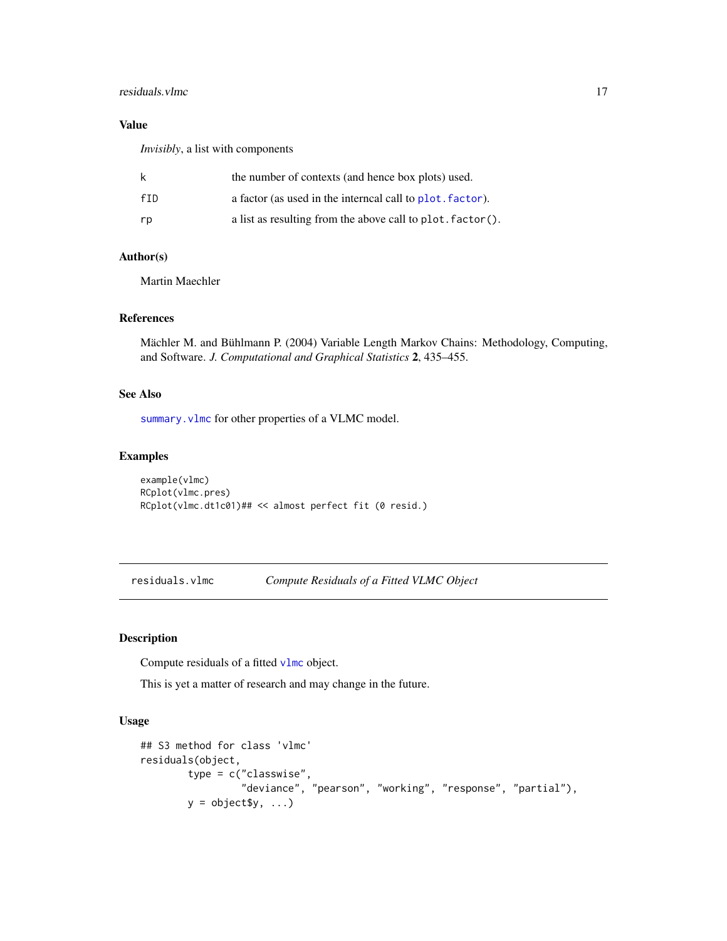#### <span id="page-16-0"></span>residuals. vlmc 17

# Value

*Invisibly*, a list with components

| k   | the number of contexts (and hence box plots) used.         |
|-----|------------------------------------------------------------|
| fTD | a factor (as used in the interneal call to plot. factor).  |
| rp  | a list as resulting from the above call to plot. factor(). |

#### Author(s)

Martin Maechler

#### References

Mächler M. and Bühlmann P. (2004) Variable Length Markov Chains: Methodology, Computing, and Software. *J. Computational and Graphical Statistics* 2, 435–455.

# See Also

summary. vlmc for other properties of a VLMC model.

#### Examples

```
example(vlmc)
RCplot(vlmc.pres)
RCplot(vlmc.dt1c01)## << almost perfect fit (0 resid.)
```
<span id="page-16-1"></span>residuals.vlmc *Compute Residuals of a Fitted VLMC Object*

### Description

Compute residuals of a fitted [vlmc](#page-20-1) object.

This is yet a matter of research and may change in the future.

#### Usage

```
## S3 method for class 'vlmc'
residuals(object,
        type = c("classwise",
                 "deviance", "pearson", "working", "response", "partial"),
        y = object$y, ...)
```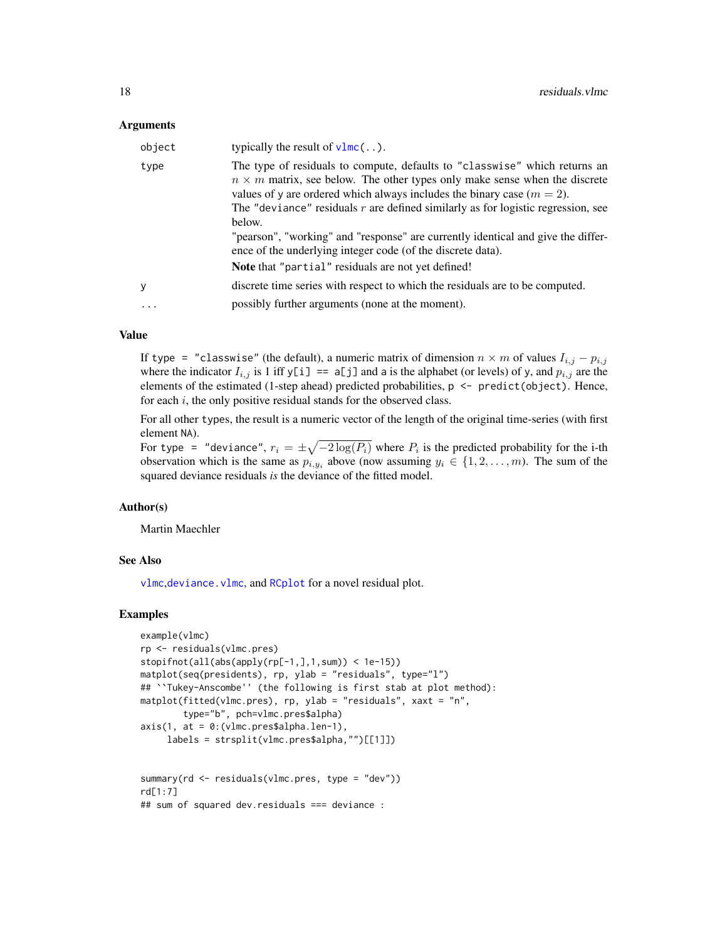#### <span id="page-17-0"></span>Arguments

| object   | typically the result of $v1mc$                                                                                                                                                                                                                                                                                                                                                                                                                                                                                                                        |
|----------|-------------------------------------------------------------------------------------------------------------------------------------------------------------------------------------------------------------------------------------------------------------------------------------------------------------------------------------------------------------------------------------------------------------------------------------------------------------------------------------------------------------------------------------------------------|
| type     | The type of residuals to compute, defaults to "classwise" which returns an<br>$n \times m$ matrix, see below. The other types only make sense when the discrete<br>values of y are ordered which always includes the binary case $(m = 2)$ .<br>The "deviance" residuals $r$ are defined similarly as for logistic regression, see<br>below.<br>"pearson", "working" and "response" are currently identical and give the differ-<br>ence of the underlying integer code (of the discrete data).<br>Note that "partial" residuals are not yet defined! |
| y        | discrete time series with respect to which the residuals are to be computed.                                                                                                                                                                                                                                                                                                                                                                                                                                                                          |
| $\ddots$ | possibly further arguments (none at the moment).                                                                                                                                                                                                                                                                                                                                                                                                                                                                                                      |

#### Value

If type = "classwise" (the default), a numeric matrix of dimension  $n \times m$  of values  $I_{i,j} - p_{i,j}$ where the indicator  $I_{i,j}$  is 1 iff y[i] == a[j] and a is the alphabet (or levels) of y, and  $p_{i,j}$  are the elements of the estimated (1-step ahead) predicted probabilities, p <- predict(object). Hence, for each i, the only positive residual stands for the observed class.

For all other types, the result is a numeric vector of the length of the original time-series (with first element NA).

For type = "deviance",  $r_i = \pm \sqrt{-2 \log(P_i)}$  where  $P_i$  is the predicted probability for the i-th observation which is the same as  $p_{i,y_i}$  above (now assuming  $y_i \in \{1, 2, ..., m\}$ ). The sum of the squared deviance residuals *is* the deviance of the fitted model.

#### Author(s)

Martin Maechler

#### See Also

[vlmc](#page-20-1),[deviance.vlmc](#page-5-1), and [RCplot](#page-15-1) for a novel residual plot.

```
example(vlmc)
rp <- residuals(vlmc.pres)
stopifnot(all(abs(apply(rp[-1,],1,sum)) < 1e-15))
matplot(seq(presidents), rp, ylab = "residuals", type="l")
## ``Tukey-Anscombe'' (the following is first stab at plot method):
matplot(fitted(vlmc.pres), rp, ylab = "residuals", xaxt = "n",
       type="b", pch=vlmc.pres$alpha)
axis(1, at = 0:(vlmc.pres$alpha.len-1),
     labels = strsplit(vlmc.pres$alpha,"")[[1]])
summary(rd <- residuals(vlmc.pres, type = "dev"))
rd[1:7]
## sum of squared dev.residuals === deviance :
```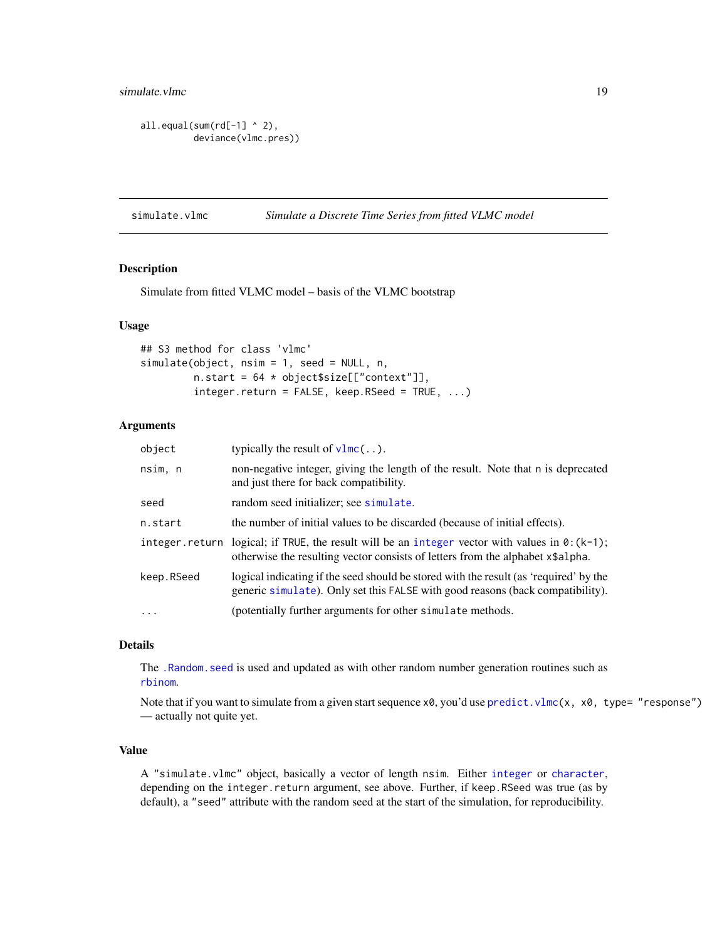<span id="page-18-0"></span>simulate. vlmc 19

```
all.equals(num(rd[-1] ^ \wedge 2),deviance(vlmc.pres))
```
<span id="page-18-1"></span>simulate.vlmc *Simulate a Discrete Time Series from fitted VLMC model*

# Description

Simulate from fitted VLMC model – basis of the VLMC bootstrap

#### Usage

```
## S3 method for class 'vlmc'
simulate(object, nsim = 1, seed = NULL, n,
        n.start = 64 * object$size[["context"]],integer.return = FALSE, keep.RSeed = TRUE, ...)
```
#### Arguments

| object     | typically the result of $v1mc$                                                                                                                                                           |
|------------|------------------------------------------------------------------------------------------------------------------------------------------------------------------------------------------|
| nsim, n    | non-negative integer, giving the length of the result. Note that n is deprecated<br>and just there for back compatibility.                                                               |
| seed       | random seed initializer; see simulate.                                                                                                                                                   |
| n.start    | the number of initial values to be discarded (because of initial effects).                                                                                                               |
|            | integer return logical; if TRUE, the result will be an integer vector with values in $\theta$ : (k-1);<br>otherwise the resulting vector consists of letters from the alphabet x\$alpha. |
| keep.RSeed | logical indicating if the seed should be stored with the result (as 'required' by the<br>generic simulate). Only set this FALSE with good reasons (back compatibility).                  |
| $\cdots$   | (potentially further arguments for other simulate methods.                                                                                                                               |

#### Details

The [.Random.seed](#page-0-0) is used and updated as with other random number generation routines such as [rbinom](#page-0-0).

Note that if you want to simulate from a given start sequence  $x0$ , you'd use predict. vlmc(x,  $x0$ , type= "response") — actually not quite yet.

#### Value

A "simulate.vlmc" object, basically a vector of length nsim. Either [integer](#page-0-0) or [character](#page-0-0), depending on the integer.return argument, see above. Further, if keep.RSeed was true (as by default), a "seed" attribute with the random seed at the start of the simulation, for reproducibility.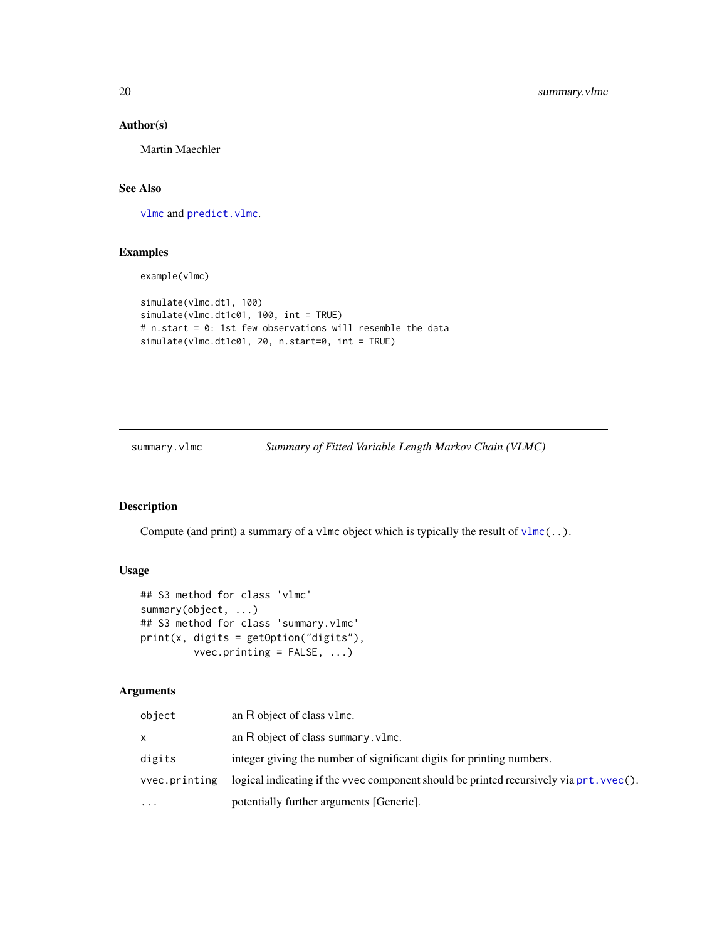# Author(s)

Martin Maechler

# See Also

[vlmc](#page-20-1) and [predict.vlmc](#page-11-1).

# Examples

example(vlmc)

```
simulate(vlmc.dt1, 100)
simulate(vlmc.dt1c01, 100, int = TRUE)
# n.start = 0: 1st few observations will resemble the data
simulate(vlmc.dt1c01, 20, n.start=0, int = TRUE)
```
<span id="page-19-1"></span>summary.vlmc *Summary of Fitted Variable Length Markov Chain (VLMC)*

### Description

Compute (and print) a summary of a vlmc object which is typically the result of  $v1mc($ ..).

# Usage

```
## S3 method for class 'vlmc'
summary(object, ...)
## S3 method for class 'summary.vlmc'
print(x, digits = getOption("digits"),
         vvec.printing = FALSE, ...)
```
# Arguments

| object        | an R object of class v1mc.                                                              |
|---------------|-----------------------------------------------------------------------------------------|
| x.            | an $R$ object of class summary. $v1mc$ .                                                |
| digits        | integer giving the number of significant digits for printing numbers.                   |
| vvec.printing | logical indicating if the vvec component should be printed recursively via prt. vvec(). |
| $\cdots$      | potentially further arguments [Generic].                                                |

<span id="page-19-0"></span>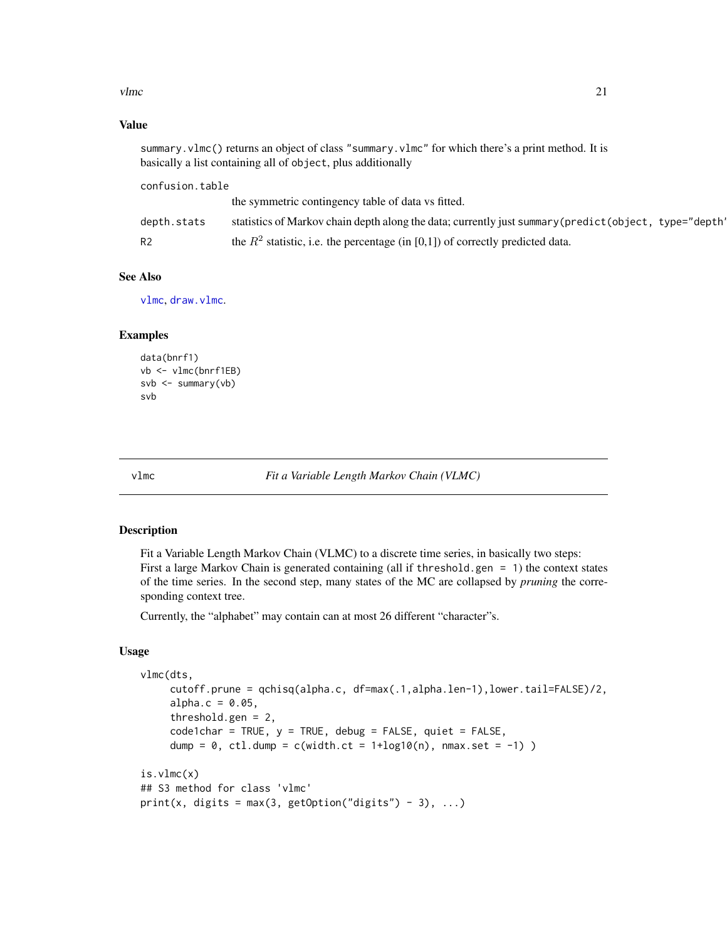<span id="page-20-0"></span> $v$ lmc  $21$ 

#### Value

summary.vlmc() returns an object of class "summary.vlmc" for which there's a print method. It is basically a list containing all of object, plus additionally

confusion.table the symmetric contingency table of data vs fitted. depth.stats statistics of Markov chain depth along the data; currently just summary(predict(object, type="depth" R2 the  $R^2$  statistic, i.e. the percentage (in [0,1]) of correctly predicted data.

#### See Also

[vlmc](#page-20-1), [draw.vlmc](#page-6-1).

#### Examples

```
data(bnrf1)
vb <- vlmc(bnrf1EB)
svb \leq summary(vb)
svb
```
<span id="page-20-1"></span>

vlmc *Fit a Variable Length Markov Chain (VLMC)*

#### Description

Fit a Variable Length Markov Chain (VLMC) to a discrete time series, in basically two steps: First a large Markov Chain is generated containing (all if threshold.gen = 1) the context states of the time series. In the second step, many states of the MC are collapsed by *pruning* the corresponding context tree.

Currently, the "alphabet" may contain can at most 26 different "character"s.

#### Usage

```
vlmc(dts,
     cutoff.prune = qchisq(alpha.c, df=max(.1,alpha.len-1),lower.tail=FALSE)/2,
     alpha.c = 0.05,threshold.gen = 2,
     code1char = TRUE, y = TRUE, debug = FALSE, quiet = FALSE,
     dump = 0, ctl.dump = c(width.ct = 1+log10(n), nmax.set = -1) )
is.vlmc(x)
## S3 method for class 'vlmc'
print(x, digits = max(3, getOption("digits") - 3), ...)
```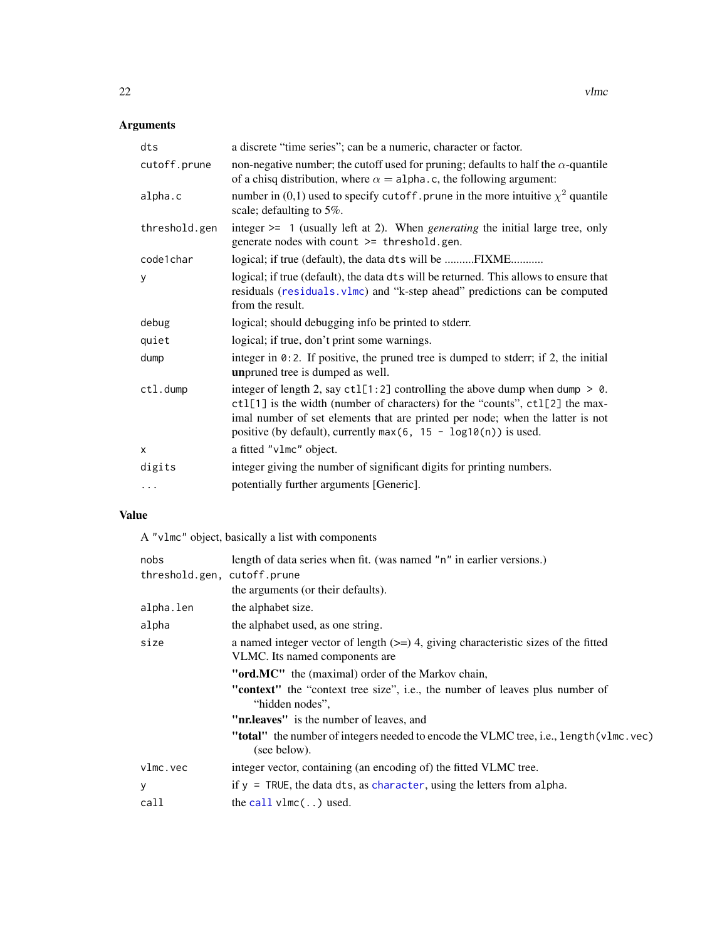# <span id="page-21-0"></span>Arguments

| dts           | a discrete "time series"; can be a numeric, character or factor.                                                                                                                                                                                                                                                        |
|---------------|-------------------------------------------------------------------------------------------------------------------------------------------------------------------------------------------------------------------------------------------------------------------------------------------------------------------------|
| cutoff.prune  | non-negative number; the cutoff used for pruning; defaults to half the $\alpha$ -quantile<br>of a chisq distribution, where $\alpha =$ alpha.c, the following argument:                                                                                                                                                 |
| alpha.c       | number in (0,1) used to specify cutoff. prune in the more intuitive $\chi^2$ quantile<br>scale; defaulting to 5%.                                                                                                                                                                                                       |
| threshold.gen | integer $\ge$ 1 (usually left at 2). When <i>generating</i> the initial large tree, only<br>generate nodes with count >= threshold.gen.                                                                                                                                                                                 |
| code1char     | logical; if true (default), the data dts will be FIXME                                                                                                                                                                                                                                                                  |
| y             | logical; if true (default), the data dts will be returned. This allows to ensure that<br>residuals (residuals.vlmc) and "k-step ahead" predictions can be computed<br>from the result.                                                                                                                                  |
| debug         | logical; should debugging info be printed to stderr.                                                                                                                                                                                                                                                                    |
| quiet         | logical; if true, don't print some warnings.                                                                                                                                                                                                                                                                            |
| dump          | integer in $0:2$ . If positive, the pruned tree is dumped to stderr; if 2, the initial<br>unpruned tree is dumped as well.                                                                                                                                                                                              |
| ctl.dump      | integer of length 2, say $ctl[1:2]$ controlling the above dump when dump $> 0$ .<br>ctl[1] is the width (number of characters) for the "counts", ctl[2] the max-<br>imal number of set elements that are printed per node; when the latter is not<br>positive (by default), currently max $(6, 15 - log10(n))$ is used. |
| X             | a fitted "v1mc" object.                                                                                                                                                                                                                                                                                                 |
| digits        | integer giving the number of significant digits for printing numbers.                                                                                                                                                                                                                                                   |
| .             | potentially further arguments [Generic].                                                                                                                                                                                                                                                                                |
|               |                                                                                                                                                                                                                                                                                                                         |

# Value

A "vlmc" object, basically a list with components

| nobs                        | length of data series when fit. (was named "n" in earlier versions.)                                                   |
|-----------------------------|------------------------------------------------------------------------------------------------------------------------|
| threshold.gen, cutoff.prune |                                                                                                                        |
|                             | the arguments (or their defaults).                                                                                     |
| alpha.len                   | the alphabet size.                                                                                                     |
| alpha                       | the alphabet used, as one string.                                                                                      |
| size                        | a named integer vector of length $(>=)$ 4, giving characteristic sizes of the fitted<br>VLMC. Its named components are |
|                             | "ord.MC" the (maximal) order of the Markov chain,                                                                      |
|                             | <b>"context"</b> the "context tree size", i.e., the number of leaves plus number of<br>"hidden nodes",                 |
|                             | " <b>nr.leaves</b> " is the number of leaves, and                                                                      |
|                             | " <b>total</b> " the number of integers needed to encode the VLMC tree, i.e., length (vlmc.vec)<br>(see below).        |
| v1mc.vec                    | integer vector, containing (an encoding of) the fitted VLMC tree.                                                      |
| У                           | if $y = \text{TRUE}$ , the data dts, as character, using the letters from alpha.                                       |
| call                        | the call $vlmc$ ) used.                                                                                                |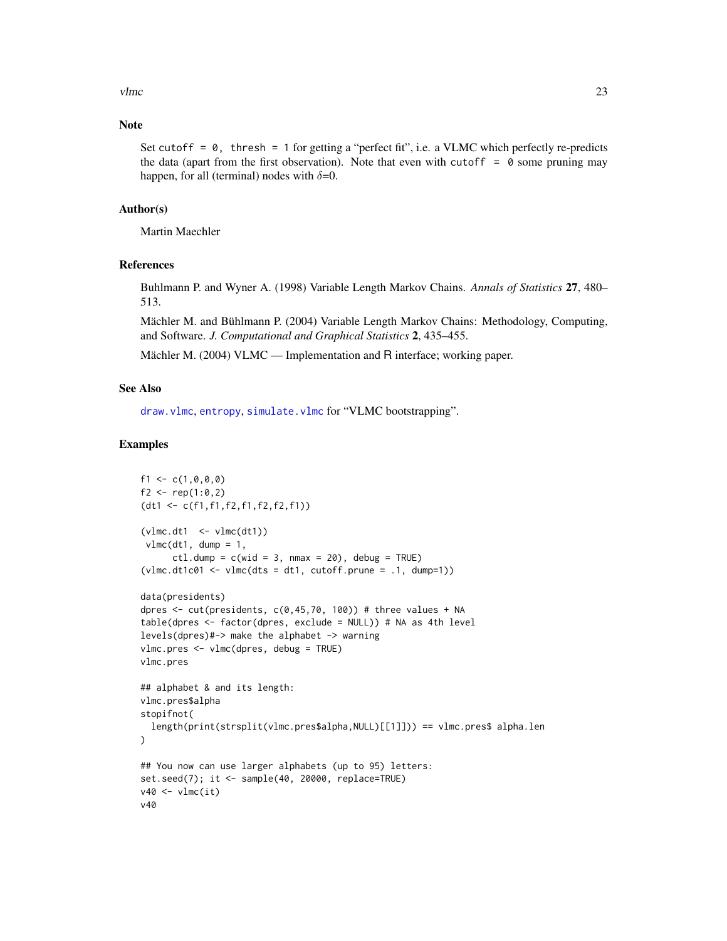<span id="page-22-0"></span> $v$ lmc  $23$ 

# Note

Set cutoff =  $\theta$ , thresh = 1 for getting a "perfect fit", i.e. a VLMC which perfectly re-predicts the data (apart from the first observation). Note that even with cutoff  $= 0$  some pruning may happen, for all (terminal) nodes with  $\delta$ =0.

#### Author(s)

Martin Maechler

#### References

Buhlmann P. and Wyner A. (1998) Variable Length Markov Chains. *Annals of Statistics* 27, 480– 513.

Mächler M. and Bühlmann P. (2004) Variable Length Markov Chains: Methodology, Computing, and Software. *J. Computational and Graphical Statistics* 2, 435–455.

Mächler M. (2004) VLMC — Implementation and R interface; working paper.

# See Also

[draw.vlmc](#page-6-1), [entropy](#page-9-1), [simulate.vlmc](#page-18-1) for "VLMC bootstrapping".

```
f1 <- c(1, 0, 0, 0)f2 <- rep(1:0,2)(dt1 <- c(f1,f1,f2,f1,f2,f2,f1))
(vlmc.dt1 \le -vlmc(dt1))vlmc(dt1, dump = 1,ctl.dump = c(wid = 3, nmax = 20), debug = TRUE)
(vlmc.dt1c01 \leftarrow vlmc(dts = dt1, cutoff.prune = .1, dump=1))data(presidents)
dpres \le cut(presidents, c(0,45,70, 100)) # three values + NA
table(dpres <- factor(dpres, exclude = NULL)) # NA as 4th level
levels(dpres)#-> make the alphabet -> warning
vlmc.pres <- vlmc(dpres, debug = TRUE)
vlmc.pres
## alphabet & and its length:
vlmc.pres$alpha
stopifnot(
 length(print(strsplit(vlmc.pres$alpha,NULL)[[1]])) == vlmc.pres$ alpha.len
)
## You now can use larger alphabets (up to 95) letters:
set.seed(7); it <- sample(40, 20000, replace=TRUE)
v40 \le v1mc(it)v40
```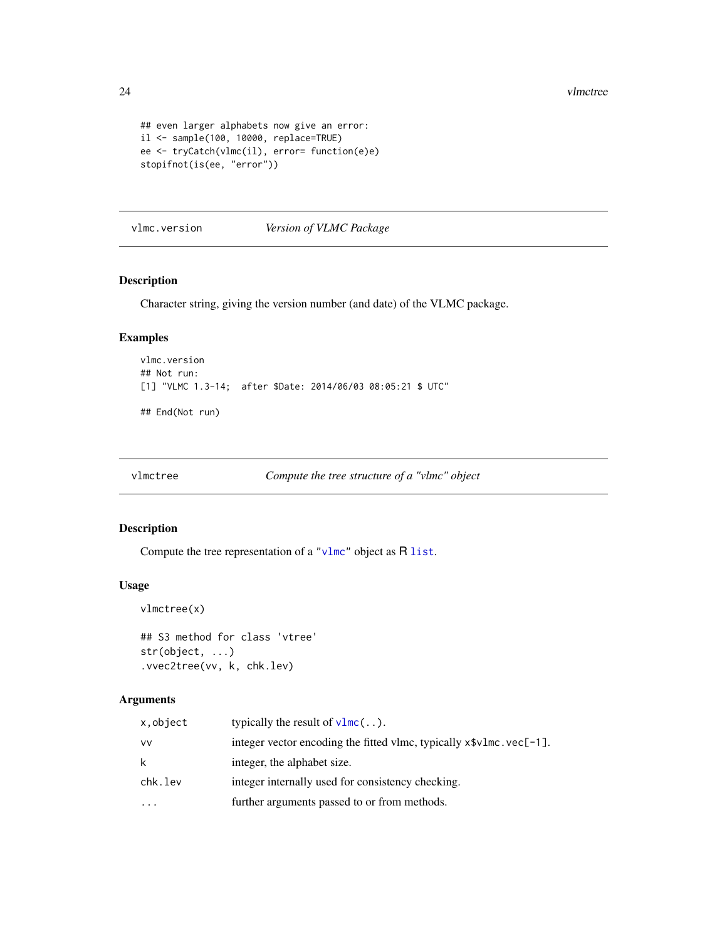24 vlmctree

```
## even larger alphabets now give an error:
il <- sample(100, 10000, replace=TRUE)
ee <- tryCatch(vlmc(il), error= function(e)e)
stopifnot(is(ee, "error"))
```
vlmc.version *Version of VLMC Package*

# **Description**

Character string, giving the version number (and date) of the VLMC package.

#### Examples

```
vlmc.version
## Not run:
[1] "VLMC 1.3-14; after $Date: 2014/06/03 08:05:21 $ UTC"
```
## End(Not run)

vlmctree *Compute the tree structure of a "vlmc" object*

# Description

Compute the tree representation of a ["vlmc"](#page-20-1) object as R [list](#page-0-0).

#### Usage

```
vlmctree(x)
```

```
## S3 method for class 'vtree'
str(object, ...)
.vvec2tree(vv, k, chk.lev)
```
# Arguments

| x,object  | typically the result of $v1mc$                                        |
|-----------|-----------------------------------------------------------------------|
| VV        | integer vector encoding the fitted vlmc, typically $x\$ vlmc.vec[-1]. |
| k         | integer, the alphabet size.                                           |
| chk.lev   | integer internally used for consistency checking.                     |
| $\ddotsc$ | further arguments passed to or from methods.                          |

<span id="page-23-0"></span>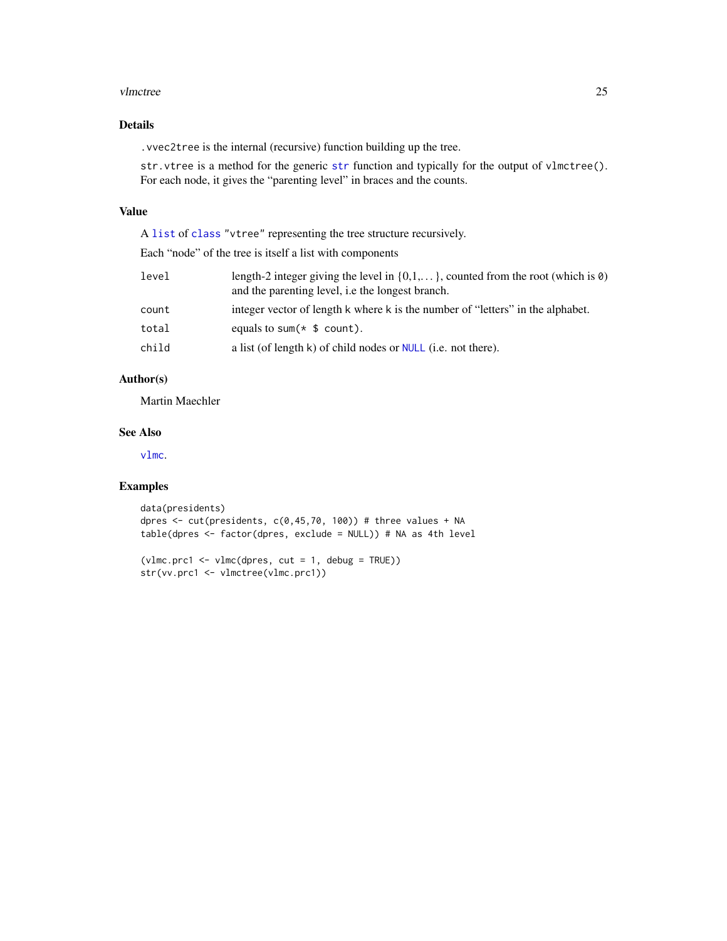#### <span id="page-24-0"></span>vlmctree 25

# Details

.vvec2tree is the internal (recursive) function building up the tree.

[str](#page-0-0). vtree is a method for the generic str function and typically for the output of vlmctree(). For each node, it gives the "parenting level" in braces and the counts.

# Value

A [list](#page-0-0) of [class](#page-0-0) "vtree" representing the tree structure recursively.

Each "node" of the tree is itself a list with components

| length-2 integer giving the level in $\{0,1,\}$ , counted from the root (which is $\emptyset$ )<br>and the parenting level, i.e the longest branch. |
|-----------------------------------------------------------------------------------------------------------------------------------------------------|
| integer vector of length k where k is the number of "letters" in the alphabet.                                                                      |
| equals to sum( $*$ \$ count).                                                                                                                       |
| a list (of length $k$ ) of child nodes or NULL (i.e. not there).                                                                                    |
|                                                                                                                                                     |

# Author(s)

Martin Maechler

#### See Also

[vlmc](#page-20-1).

```
data(presidents)
dpres \leq cut(presidents, c(0,45,70, 100)) # three values + NA
table(dpres <- factor(dpres, exclude = NULL)) # NA as 4th level
```

```
(vlmc.prc1 <- vlmc(dpres, cut = 1, debug = TRUE))
str(vv.prc1 <- vlmctree(vlmc.prc1))
```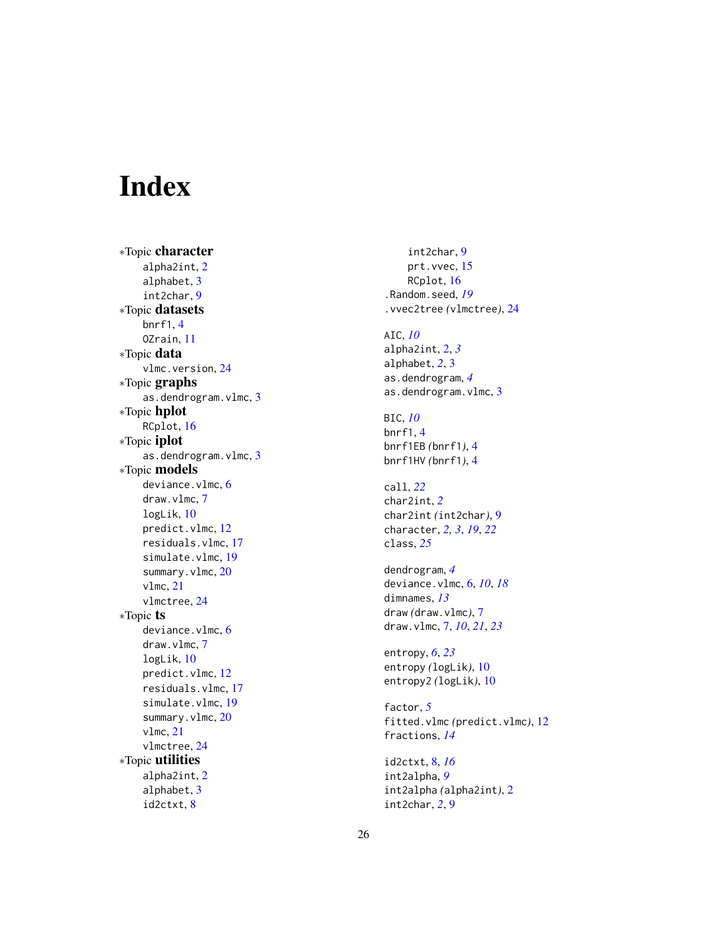# <span id="page-25-0"></span>Index

∗Topic character alpha2int , [2](#page-1-0) alphabet , [3](#page-2-0) int2char , [9](#page-8-0) ∗Topic datasets bnrf1 , [4](#page-3-0) OZrain , [11](#page-10-0) ∗Topic data vlmc.version, [24](#page-23-0) ∗Topic graphs as.dendrogram.vlmc, [3](#page-2-0) ∗Topic hplot RCplot , [16](#page-15-0) ∗Topic iplot as.dendrogram.vlmc, [3](#page-2-0) ∗Topic models deviance.vlmc, [6](#page-5-0) draw.vlmc , [7](#page-6-0) logLik , [10](#page-9-0) predict.vlmc , [12](#page-11-0) residuals.vlmc , [17](#page-16-0) simulate.vlmc, [19](#page-18-0) summary.vlmc, [20](#page-19-0) vlmc , [21](#page-20-0) vlmctree , [24](#page-23-0) ∗Topic ts deviance.vlmc, [6](#page-5-0) draw.vlmc , [7](#page-6-0) logLik , [10](#page-9-0) predict.vlmc , [12](#page-11-0) residuals.vlmc , [17](#page-16-0) simulate.vlmc, [19](#page-18-0) summary.vlmc, [20](#page-19-0) vlmc , [21](#page-20-0) vlmctree , [24](#page-23-0) ∗Topic utilities alpha2int , [2](#page-1-0) alphabet , [3](#page-2-0) id2ctxt , [8](#page-7-0)

int2char , [9](#page-8-0) prt.vvec, [15](#page-14-0) RCplot , [16](#page-15-0) .Random.seed , *[19](#page-18-0)* .vvec2tree *(*vlmctree *)* , [24](#page-23-0) AIC , *[10](#page-9-0)* alpha2int , [2](#page-1-0) , *[3](#page-2-0)* alphabet , *[2](#page-1-0)* , [3](#page-2-0) as.dendrogram , *[4](#page-3-0)* as.dendrogram.vlmc, [3](#page-2-0) BIC , *[10](#page-9-0)* bnrf1 , [4](#page-3-0) bnrf1EB *(*bnrf1 *)* , [4](#page-3-0) bnrf1HV *(*bnrf1 *)* , [4](#page-3-0) call , *[22](#page-21-0)* char2int , *[2](#page-1-0)* char2int *(*int2char *)* , [9](#page-8-0) character , *[2](#page-1-0) , [3](#page-2-0)* , *[19](#page-18-0)* , *[22](#page-21-0)* class , *[25](#page-24-0)* dendrogram , *[4](#page-3-0)* deviance.vlmc , [6](#page-5-0) , *[10](#page-9-0)* , *[18](#page-17-0)* dimnames , *[13](#page-12-0)* draw *(*draw.vlmc *)* , [7](#page-6-0) draw.vlmc , [7](#page-6-0) , *[10](#page-9-0)* , *[21](#page-20-0)* , *[23](#page-22-0)* entropy , *[6](#page-5-0)* , *[23](#page-22-0)* entropy *(*logLik *)* , [10](#page-9-0) entropy2 *(*logLik *)* , [10](#page-9-0) factor , *[5](#page-4-0)* fitted.vlmc *(*predict.vlmc *)* , [12](#page-11-0) fractions , *[14](#page-13-0)* id2ctxt , [8](#page-7-0) , *[16](#page-15-0)* int2alpha , *[9](#page-8-0)* int2alpha *(*alpha2int *)* , [2](#page-1-0)

int2char , *[2](#page-1-0)* , [9](#page-8-0)